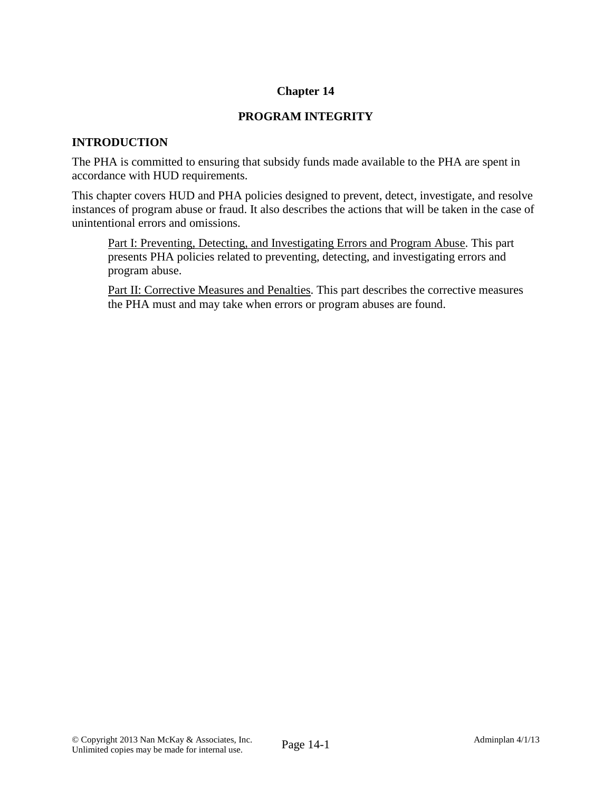# **Chapter 14**

# **PROGRAM INTEGRITY**

## **INTRODUCTION**

The PHA is committed to ensuring that subsidy funds made available to the PHA are spent in accordance with HUD requirements.

This chapter covers HUD and PHA policies designed to prevent, detect, investigate, and resolve instances of program abuse or fraud. It also describes the actions that will be taken in the case of unintentional errors and omissions.

Part I: Preventing, Detecting, and Investigating Errors and Program Abuse. This part presents PHA policies related to preventing, detecting, and investigating errors and program abuse.

Part II: Corrective Measures and Penalties. This part describes the corrective measures the PHA must and may take when errors or program abuses are found.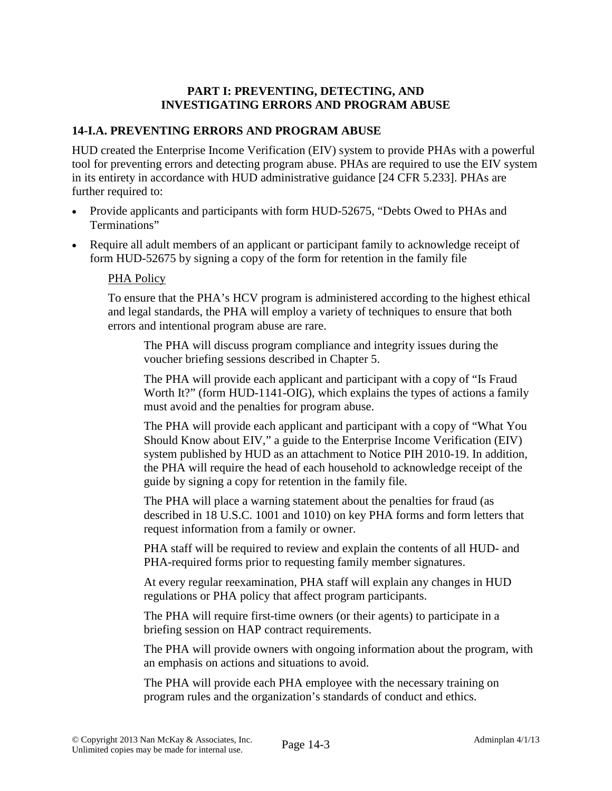## **PART I: PREVENTING, DETECTING, AND INVESTIGATING ERRORS AND PROGRAM ABUSE**

# **14-I.A. PREVENTING ERRORS AND PROGRAM ABUSE**

HUD created the Enterprise Income Verification (EIV) system to provide PHAs with a powerful tool for preventing errors and detecting program abuse. PHAs are required to use the EIV system in its entirety in accordance with HUD administrative guidance [24 CFR 5.233]. PHAs are further required to:

- Provide applicants and participants with form HUD-52675, "Debts Owed to PHAs and Terminations"
- Require all adult members of an applicant or participant family to acknowledge receipt of form HUD-52675 by signing a copy of the form for retention in the family file

#### PHA Policy

To ensure that the PHA's HCV program is administered according to the highest ethical and legal standards, the PHA will employ a variety of techniques to ensure that both errors and intentional program abuse are rare.

The PHA will discuss program compliance and integrity issues during the voucher briefing sessions described in Chapter 5.

The PHA will provide each applicant and participant with a copy of "Is Fraud Worth It?" (form HUD-1141-OIG), which explains the types of actions a family must avoid and the penalties for program abuse.

The PHA will provide each applicant and participant with a copy of "What You Should Know about EIV," a guide to the Enterprise Income Verification (EIV) system published by HUD as an attachment to Notice PIH 2010-19. In addition, the PHA will require the head of each household to acknowledge receipt of the guide by signing a copy for retention in the family file.

The PHA will place a warning statement about the penalties for fraud (as described in 18 U.S.C. 1001 and 1010) on key PHA forms and form letters that request information from a family or owner.

PHA staff will be required to review and explain the contents of all HUD- and PHA-required forms prior to requesting family member signatures.

At every regular reexamination, PHA staff will explain any changes in HUD regulations or PHA policy that affect program participants.

The PHA will require first-time owners (or their agents) to participate in a briefing session on HAP contract requirements.

The PHA will provide owners with ongoing information about the program, with an emphasis on actions and situations to avoid.

The PHA will provide each PHA employee with the necessary training on program rules and the organization's standards of conduct and ethics.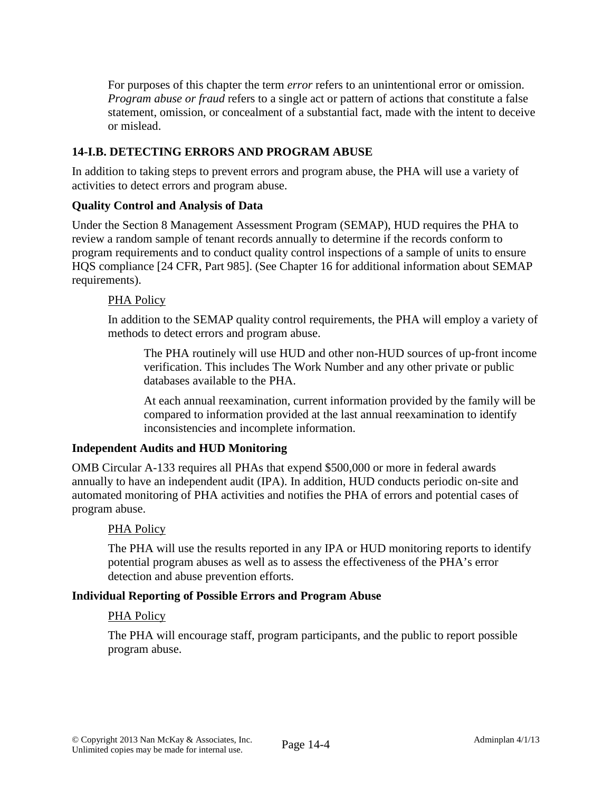For purposes of this chapter the term *error* refers to an unintentional error or omission. *Program abuse or fraud* refers to a single act or pattern of actions that constitute a false statement, omission, or concealment of a substantial fact, made with the intent to deceive or mislead.

# **14-I.B. DETECTING ERRORS AND PROGRAM ABUSE**

In addition to taking steps to prevent errors and program abuse, the PHA will use a variety of activities to detect errors and program abuse.

# **Quality Control and Analysis of Data**

Under the Section 8 Management Assessment Program (SEMAP), HUD requires the PHA to review a random sample of tenant records annually to determine if the records conform to program requirements and to conduct quality control inspections of a sample of units to ensure HQS compliance [24 CFR, Part 985]. (See Chapter 16 for additional information about SEMAP requirements).

## PHA Policy

In addition to the SEMAP quality control requirements, the PHA will employ a variety of methods to detect errors and program abuse.

The PHA routinely will use HUD and other non-HUD sources of up-front income verification. This includes The Work Number and any other private or public databases available to the PHA.

At each annual reexamination, current information provided by the family will be compared to information provided at the last annual reexamination to identify inconsistencies and incomplete information.

# **Independent Audits and HUD Monitoring**

OMB Circular A-133 requires all PHAs that expend \$500,000 or more in federal awards annually to have an independent audit (IPA). In addition, HUD conducts periodic on-site and automated monitoring of PHA activities and notifies the PHA of errors and potential cases of program abuse.

#### PHA Policy

The PHA will use the results reported in any IPA or HUD monitoring reports to identify potential program abuses as well as to assess the effectiveness of the PHA's error detection and abuse prevention efforts.

#### **Individual Reporting of Possible Errors and Program Abuse**

#### PHA Policy

The PHA will encourage staff, program participants, and the public to report possible program abuse.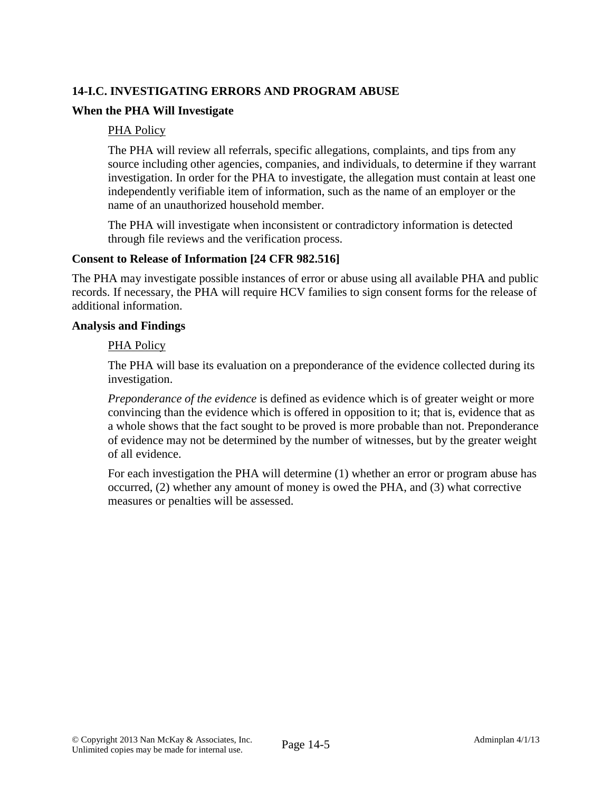# **14-I.C. INVESTIGATING ERRORS AND PROGRAM ABUSE**

## **When the PHA Will Investigate**

#### PHA Policy

The PHA will review all referrals, specific allegations, complaints, and tips from any source including other agencies, companies, and individuals, to determine if they warrant investigation. In order for the PHA to investigate, the allegation must contain at least one independently verifiable item of information, such as the name of an employer or the name of an unauthorized household member.

The PHA will investigate when inconsistent or contradictory information is detected through file reviews and the verification process.

#### **Consent to Release of Information [24 CFR 982.516]**

The PHA may investigate possible instances of error or abuse using all available PHA and public records. If necessary, the PHA will require HCV families to sign consent forms for the release of additional information.

#### **Analysis and Findings**

#### PHA Policy

The PHA will base its evaluation on a preponderance of the evidence collected during its investigation.

*Preponderance of the evidence* is defined as evidence which is of greater weight or more convincing than the evidence which is offered in opposition to it; that is, evidence that as a whole shows that the fact sought to be proved is more probable than not. Preponderance of evidence may not be determined by the number of witnesses, but by the greater weight of all evidence.

For each investigation the PHA will determine (1) whether an error or program abuse has occurred, (2) whether any amount of money is owed the PHA, and (3) what corrective measures or penalties will be assessed.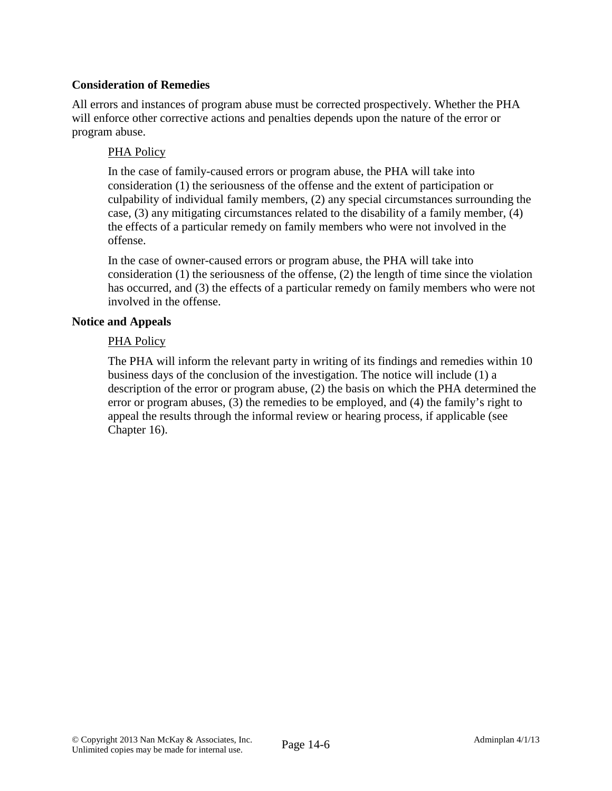# **Consideration of Remedies**

All errors and instances of program abuse must be corrected prospectively. Whether the PHA will enforce other corrective actions and penalties depends upon the nature of the error or program abuse.

## PHA Policy

In the case of family-caused errors or program abuse, the PHA will take into consideration (1) the seriousness of the offense and the extent of participation or culpability of individual family members, (2) any special circumstances surrounding the case, (3) any mitigating circumstances related to the disability of a family member, (4) the effects of a particular remedy on family members who were not involved in the offense.

In the case of owner-caused errors or program abuse, the PHA will take into consideration (1) the seriousness of the offense, (2) the length of time since the violation has occurred, and (3) the effects of a particular remedy on family members who were not involved in the offense.

### **Notice and Appeals**

## PHA Policy

The PHA will inform the relevant party in writing of its findings and remedies within 10 business days of the conclusion of the investigation. The notice will include (1) a description of the error or program abuse, (2) the basis on which the PHA determined the error or program abuses, (3) the remedies to be employed, and (4) the family's right to appeal the results through the informal review or hearing process, if applicable (see Chapter 16).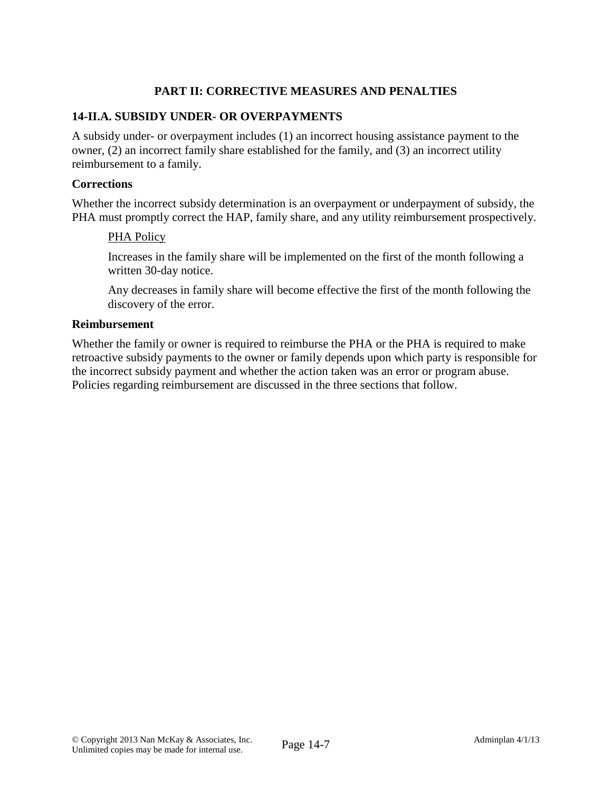# **PART II: CORRECTIVE MEASURES AND PENALTIES**

## **14-II.A. SUBSIDY UNDER- OR OVERPAYMENTS**

A subsidy under- or overpayment includes (1) an incorrect housing assistance payment to the owner, (2) an incorrect family share established for the family, and (3) an incorrect utility reimbursement to a family.

#### **Corrections**

Whether the incorrect subsidy determination is an overpayment or underpayment of subsidy, the PHA must promptly correct the HAP, family share, and any utility reimbursement prospectively.

#### PHA Policy

Increases in the family share will be implemented on the first of the month following a written 30-day notice.

Any decreases in family share will become effective the first of the month following the discovery of the error.

#### **Reimbursement**

Whether the family or owner is required to reimburse the PHA or the PHA is required to make retroactive subsidy payments to the owner or family depends upon which party is responsible for the incorrect subsidy payment and whether the action taken was an error or program abuse. Policies regarding reimbursement are discussed in the three sections that follow.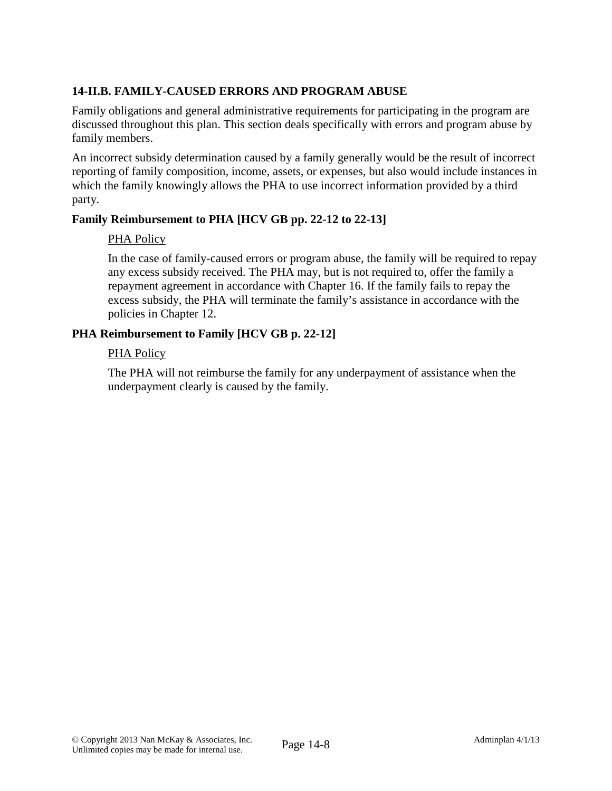# **14-II.B. FAMILY-CAUSED ERRORS AND PROGRAM ABUSE**

Family obligations and general administrative requirements for participating in the program are discussed throughout this plan. This section deals specifically with errors and program abuse by family members.

An incorrect subsidy determination caused by a family generally would be the result of incorrect reporting of family composition, income, assets, or expenses, but also would include instances in which the family knowingly allows the PHA to use incorrect information provided by a third party.

# **Family Reimbursement to PHA [HCV GB pp. 22-12 to 22-13]**

## PHA Policy

In the case of family-caused errors or program abuse, the family will be required to repay any excess subsidy received. The PHA may, but is not required to, offer the family a repayment agreement in accordance with Chapter 16. If the family fails to repay the excess subsidy, the PHA will terminate the family's assistance in accordance with the policies in Chapter 12.

# **PHA Reimbursement to Family [HCV GB p. 22-12]**

## PHA Policy

The PHA will not reimburse the family for any underpayment of assistance when the underpayment clearly is caused by the family.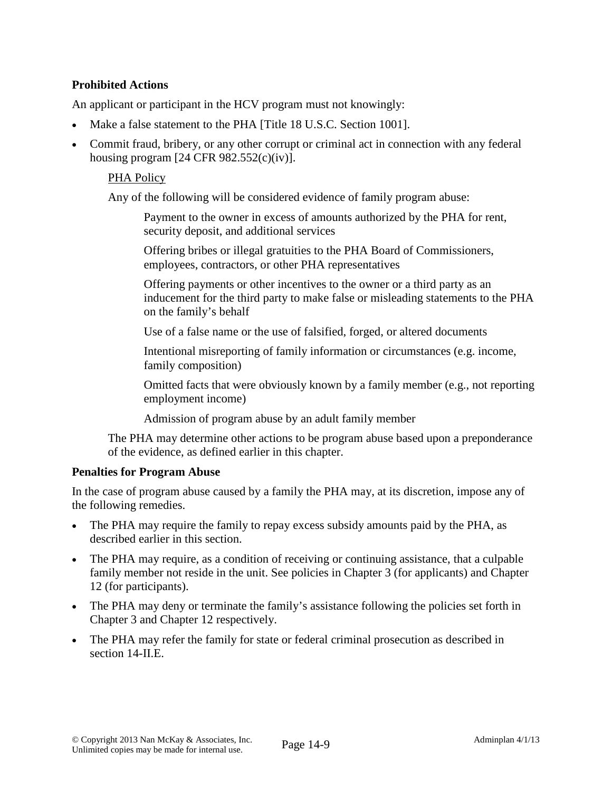# **Prohibited Actions**

An applicant or participant in the HCV program must not knowingly:

- Make a false statement to the PHA [Title 18 U.S.C. Section 1001].
- Commit fraud, bribery, or any other corrupt or criminal act in connection with any federal housing program  $[24 \text{ CFR } 982.552(c)(iv)].$

#### PHA Policy

Any of the following will be considered evidence of family program abuse:

Payment to the owner in excess of amounts authorized by the PHA for rent, security deposit, and additional services

Offering bribes or illegal gratuities to the PHA Board of Commissioners, employees, contractors, or other PHA representatives

Offering payments or other incentives to the owner or a third party as an inducement for the third party to make false or misleading statements to the PHA on the family's behalf

Use of a false name or the use of falsified, forged, or altered documents

Intentional misreporting of family information or circumstances (e.g. income, family composition)

Omitted facts that were obviously known by a family member (e.g., not reporting employment income)

Admission of program abuse by an adult family member

The PHA may determine other actions to be program abuse based upon a preponderance of the evidence, as defined earlier in this chapter.

#### **Penalties for Program Abuse**

In the case of program abuse caused by a family the PHA may, at its discretion, impose any of the following remedies.

- The PHA may require the family to repay excess subsidy amounts paid by the PHA, as described earlier in this section.
- The PHA may require, as a condition of receiving or continuing assistance, that a culpable family member not reside in the unit. See policies in Chapter 3 (for applicants) and Chapter 12 (for participants).
- The PHA may deny or terminate the family's assistance following the policies set forth in Chapter 3 and Chapter 12 respectively.
- The PHA may refer the family for state or federal criminal prosecution as described in section 14-II.E.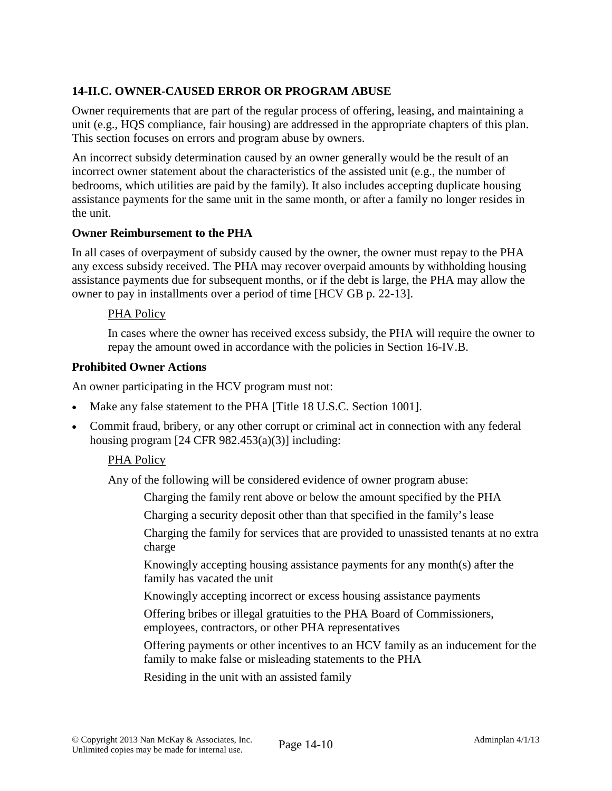# **14-II.C. OWNER-CAUSED ERROR OR PROGRAM ABUSE**

Owner requirements that are part of the regular process of offering, leasing, and maintaining a unit (e.g., HQS compliance, fair housing) are addressed in the appropriate chapters of this plan. This section focuses on errors and program abuse by owners.

An incorrect subsidy determination caused by an owner generally would be the result of an incorrect owner statement about the characteristics of the assisted unit (e.g., the number of bedrooms, which utilities are paid by the family). It also includes accepting duplicate housing assistance payments for the same unit in the same month, or after a family no longer resides in the unit.

#### **Owner Reimbursement to the PHA**

In all cases of overpayment of subsidy caused by the owner, the owner must repay to the PHA any excess subsidy received. The PHA may recover overpaid amounts by withholding housing assistance payments due for subsequent months, or if the debt is large, the PHA may allow the owner to pay in installments over a period of time [HCV GB p. 22-13].

#### PHA Policy

In cases where the owner has received excess subsidy, the PHA will require the owner to repay the amount owed in accordance with the policies in Section 16-IV.B.

#### **Prohibited Owner Actions**

An owner participating in the HCV program must not:

- Make any false statement to the PHA [Title 18 U.S.C. Section 1001].
- Commit fraud, bribery, or any other corrupt or criminal act in connection with any federal housing program  $[24 \text{ CFR } 982.453(a)(3)]$  including:

#### PHA Policy

Any of the following will be considered evidence of owner program abuse:

Charging the family rent above or below the amount specified by the PHA

Charging a security deposit other than that specified in the family's lease

Charging the family for services that are provided to unassisted tenants at no extra charge

Knowingly accepting housing assistance payments for any month(s) after the family has vacated the unit

Knowingly accepting incorrect or excess housing assistance payments

Offering bribes or illegal gratuities to the PHA Board of Commissioners, employees, contractors, or other PHA representatives

Offering payments or other incentives to an HCV family as an inducement for the family to make false or misleading statements to the PHA

Residing in the unit with an assisted family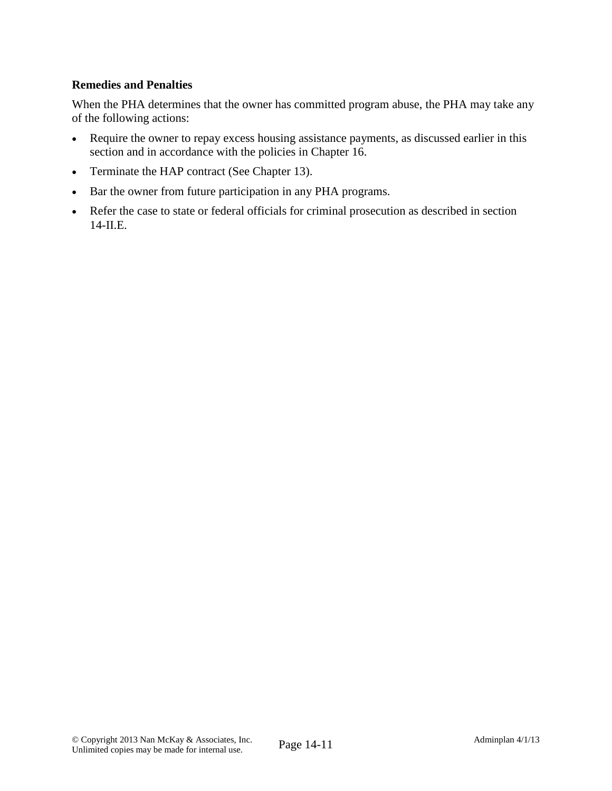## **Remedies and Penalties**

When the PHA determines that the owner has committed program abuse, the PHA may take any of the following actions:

- Require the owner to repay excess housing assistance payments, as discussed earlier in this section and in accordance with the policies in Chapter 16.
- Terminate the HAP contract (See Chapter 13).
- Bar the owner from future participation in any PHA programs.
- Refer the case to state or federal officials for criminal prosecution as described in section 14-II.E.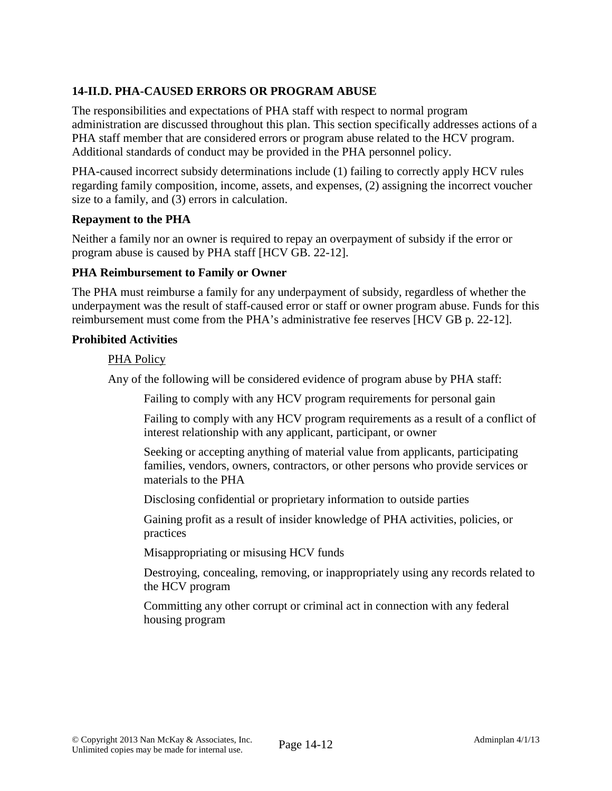# **14-II.D. PHA-CAUSED ERRORS OR PROGRAM ABUSE**

The responsibilities and expectations of PHA staff with respect to normal program administration are discussed throughout this plan. This section specifically addresses actions of a PHA staff member that are considered errors or program abuse related to the HCV program. Additional standards of conduct may be provided in the PHA personnel policy.

PHA-caused incorrect subsidy determinations include (1) failing to correctly apply HCV rules regarding family composition, income, assets, and expenses, (2) assigning the incorrect voucher size to a family, and (3) errors in calculation.

#### **Repayment to the PHA**

Neither a family nor an owner is required to repay an overpayment of subsidy if the error or program abuse is caused by PHA staff [HCV GB. 22-12].

## **PHA Reimbursement to Family or Owner**

The PHA must reimburse a family for any underpayment of subsidy, regardless of whether the underpayment was the result of staff-caused error or staff or owner program abuse. Funds for this reimbursement must come from the PHA's administrative fee reserves [HCV GB p. 22-12].

#### **Prohibited Activities**

#### PHA Policy

Any of the following will be considered evidence of program abuse by PHA staff:

Failing to comply with any HCV program requirements for personal gain

Failing to comply with any HCV program requirements as a result of a conflict of interest relationship with any applicant, participant, or owner

Seeking or accepting anything of material value from applicants, participating families, vendors, owners, contractors, or other persons who provide services or materials to the PHA

Disclosing confidential or proprietary information to outside parties

Gaining profit as a result of insider knowledge of PHA activities, policies, or practices

Misappropriating or misusing HCV funds

Destroying, concealing, removing, or inappropriately using any records related to the HCV program

Committing any other corrupt or criminal act in connection with any federal housing program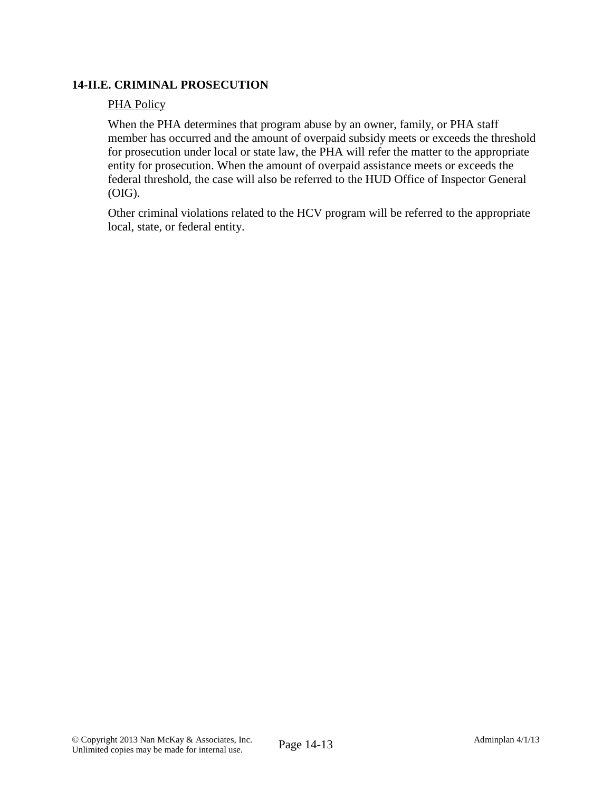## **14-II.E. CRIMINAL PROSECUTION**

### PHA Policy

When the PHA determines that program abuse by an owner, family, or PHA staff member has occurred and the amount of overpaid subsidy meets or exceeds the threshold for prosecution under local or state law, the PHA will refer the matter to the appropriate entity for prosecution. When the amount of overpaid assistance meets or exceeds the federal threshold, the case will also be referred to the HUD Office of Inspector General (OIG).

Other criminal violations related to the HCV program will be referred to the appropriate local, state, or federal entity.